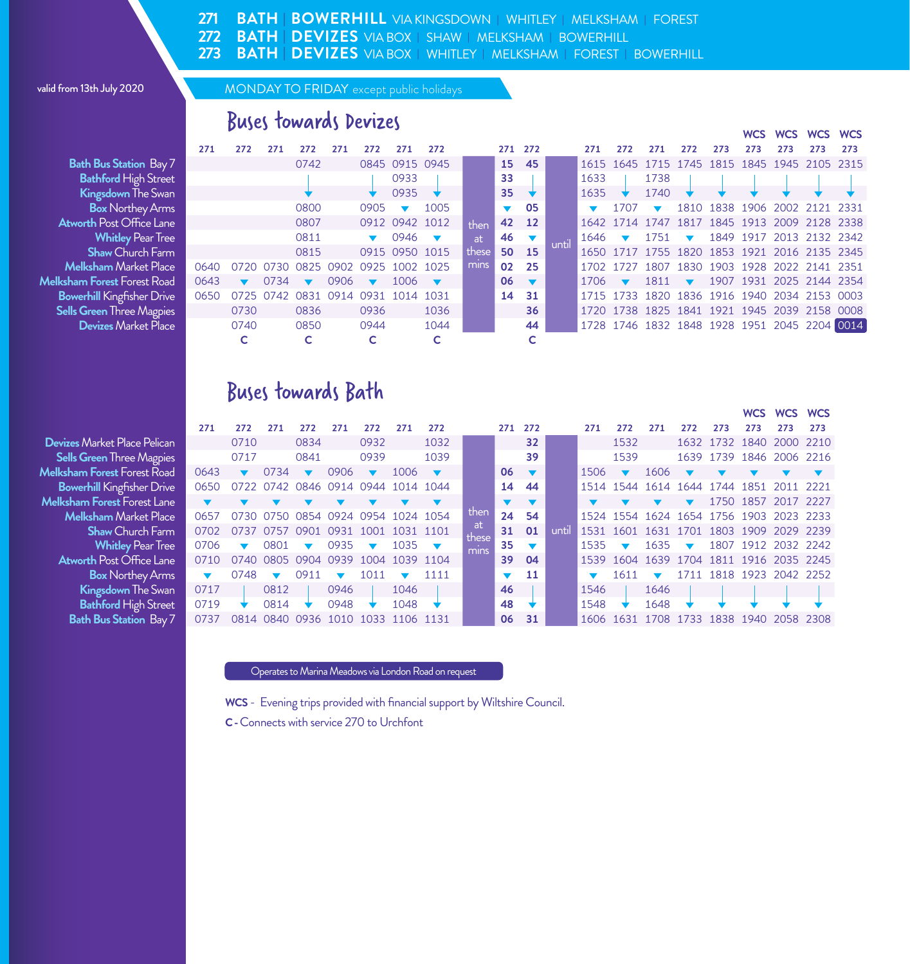**BATH | BOWERHILL** VIA KINGSDOWN **|** WHITLEY **|** MELKSHAM **|** FOREST **BATH | DEVIZES** VIA BOX **|** SHAW **|** MELKSHAM **|** BOWERHILL **271 272**

**BATH | DEVIZES** VIA BOX **|** WHITLEY **|** MELKSHAM **|** FOREST **|** BOWERHILL **273**

#### valid from 13th July 2020 MONDAY TO FRIDAY except public holidays

**Bath Bus Station Bay 7 Bathford High Street Kingsdown The Swan<br>Box Northey Arms Atworth Post Office Lane Whitley Pear Tree Melksham** Market Place **Melksham Forest Forest Road Bowerhill** Kingfisher Drive **Sells Green Three Magpies**<br>**Devizes Market Place** 

**Devizes** Market Place Pelican **Sells Green Three Magpies Melksham Forest Forest Road Bowerhill Kingfisher Drive Melksham Forest Forest Lane Melksham** Market Place<br>**Shaw** Church Farm **Whitley Pear Tree Atworth Post Office Lane Box Northey Arms Kingsdown The Swan Bathford High Street Bath Bus Station Bay 7** 

# Buses towards Devizes

|                                 | 271  | 272                  | 271  | 272                                | 271  | 272                      | 271                      | 272                      |         | 271 272                       |               |       | 271  | 272                     | 271                             | 272                     | 273 | 273 | 273 |                                              | 273                                          |
|---------------------------------|------|----------------------|------|------------------------------------|------|--------------------------|--------------------------|--------------------------|---------|-------------------------------|---------------|-------|------|-------------------------|---------------------------------|-------------------------|-----|-----|-----|----------------------------------------------|----------------------------------------------|
| a <b>th Bus Station</b> Bay 7   |      |                      |      | 0742                               |      |                          | 0845 0915 0945           |                          |         |                               | 15 45         |       |      |                         |                                 |                         |     |     |     | 1615 1645 1715 1745 1815 1845 1945 2105 2315 |                                              |
| <b>Bathford High Street</b>     |      |                      |      |                                    |      |                          | 0933                     |                          |         | 33                            |               |       | 1633 |                         | 1738                            |                         |     |     |     |                                              |                                              |
| <b>Kingsdown</b> The Swan       |      |                      |      |                                    |      |                          | 0935                     |                          |         | $35 \quad \star$              |               |       | 1635 |                         | 1740                            |                         |     |     |     |                                              |                                              |
| <b>Box</b> Northey Arms         |      |                      |      | 0800                               |      | 0905                     | $\overline{\phantom{a}}$ | 1005                     |         |                               | $\sqrt{ }$ 05 |       |      | 1707                    | $\overline{\mathbf{v}}$         |                         |     |     |     | 1810 1838 1906 2002 2121 2331                |                                              |
| <b>orth</b> Post Office Lane    |      |                      |      | 0807                               |      | 0912 0942 1012           |                          |                          | then    |                               | 42 12         |       |      |                         |                                 |                         |     |     |     | 1642 1714 1747 1817 1845 1913 2009 2128 2338 |                                              |
| <b>Whitley Pear Tree</b>        |      |                      |      | 0811                               |      | $\blacksquare$           | $0946$ $\bullet$         |                          | at.     | $46 \quad \blacktriangledown$ |               |       | 1646 | $\sim$                  | 1751                            | $\overline{\mathbf{v}}$ |     |     |     | 1849 1917 2013 2132 2342                     |                                              |
| <b>Shaw Church Farm</b>         |      |                      |      | 0815                               |      |                          | 0915 0950 1015           |                          | these I |                               | 50 15         | until |      |                         |                                 |                         |     |     |     | 1650 1717 1755 1820 1853 1921 2016 2135 2345 |                                              |
| e <b>lksham</b> Market Place    | 0640 | 0720                 |      | 0730 0825 0902 0925 1002 1025      |      |                          |                          |                          | mins    |                               | 02 25         |       |      | 1702 1727               |                                 |                         |     |     |     | 1807 1830 1903 1928 2022 2141 2351           |                                              |
| <b>m Forest</b> Forest Road     | 0643 | $\blacktriangledown$ | 0734 |                                    | 0906 | $\overline{\phantom{a}}$ | 1006                     | $\overline{\phantom{a}}$ |         | $06 \quad \blacktriangledown$ |               |       | 1706 | $\overline{\mathbf{v}}$ | $1811 \quad \blacktriangledown$ |                         |     |     |     | 1907 1931 2025 2144 2354                     |                                              |
| e <b>rhill</b> Kingfisher Drive | 0650 |                      |      | 0725 0742 0831 0914 0931 1014 1031 |      |                          |                          |                          |         |                               | 14 31         |       |      |                         |                                 |                         |     |     |     | 1715 1733 1820 1836 1916 1940 2034 2153 0003 |                                              |
| <b>Green</b> Three Magpies      |      | 0730                 |      | 0836                               |      | 0936                     |                          | 1036                     |         |                               | 36            |       |      |                         |                                 |                         |     |     |     | 1720 1738 1825 1841 1921 1945 2039 2158 0008 |                                              |
| <b>Devizes</b> Market Place     |      | 0740                 |      | 0850                               |      | 0944                     |                          | 1044                     |         |                               | 44            |       |      |                         |                                 |                         |     |     |     |                                              | 1728 1746 1832 1848 1928 1951 2045 2204 0014 |
|                                 |      |                      |      |                                    |      |                          |                          |                          |         |                               |               |       |      |                         |                                 |                         |     |     |     |                                              |                                              |

**WCS WCS WCS WCS**

### Buses towards Bath

|                                              |                          |                |           |                      |                                    |                          |                         |           |             |                      |                         |       |           |                                 |           |                          |      |      | WCS WCS WCS                             |     |
|----------------------------------------------|--------------------------|----------------|-----------|----------------------|------------------------------------|--------------------------|-------------------------|-----------|-------------|----------------------|-------------------------|-------|-----------|---------------------------------|-----------|--------------------------|------|------|-----------------------------------------|-----|
|                                              | 271                      | 272            | 271       | 272                  | 271                                | 272                      | 271                     | 272       |             |                      | 271 272                 |       | 271       | 272                             | 271       | 272                      | 273  | 273  | 273                                     | 273 |
| <b>Market Place Pelican</b>                  |                          | 0710           |           | 0834                 |                                    | 0932                     |                         | 1032      |             |                      | 32                      |       |           | 1532                            |           |                          |      |      | 1632 1732 1840 2000 2210                |     |
| reen Three Magpies                           |                          | 0717           |           | 0841                 |                                    | 0939                     |                         | 1039      |             |                      | 39                      |       |           | 1539                            |           |                          |      |      | 1639 1739 1846 2006 2216                |     |
| <b>Forest</b> Forest Road                    | 0643                     | $\blacksquare$ | 0734      | $\blacksquare$       | 0906                               | $\blacksquare$           | 1006                    |           |             | 06                   | $\overline{\mathbf{v}}$ |       | 1506      |                                 | 1606      |                          |      |      |                                         |     |
| <b>hill</b> Kingfisher Drive                 | 0650                     |                |           |                      | 0722 0742 0846 0914 0944 1014 1044 |                          |                         |           |             | 14                   | 44                      |       |           |                                 |           |                          |      |      | 1514 1544 1614 1644 1744 1851 2011 2221 |     |
| <b>1 Forest</b> Forest Lane                  |                          |                |           |                      |                                    |                          |                         |           |             |                      | $\mathbf{v}$            |       |           |                                 |           | $\blacktriangledown$     |      |      | 1750 1857 2017 2227                     |     |
| s <b>ham</b> Market Place                    | 0657                     |                |           |                      | 0730 0750 0854 0924 0954           |                          |                         | 1024 1054 | then        | 24                   | 54                      |       |           |                                 |           |                          |      |      | 1524 1554 1624 1654 1756 1903 2023 2233 |     |
| <b>Shaw</b> Church Farm                      | 0702                     |                |           |                      | 0737 0757 0901 0931 1001           |                          | 1031 1101               |           | at<br>these | 31                   | 01                      | until |           |                                 |           |                          |      |      | 1531 1601 1631 1701 1803 1909 2029 2239 |     |
| <b>Whitley Pear Tree</b>                     | 0706                     | $\blacksquare$ | 0801      | $\blacktriangledown$ | 0935                               | $\overline{\phantom{a}}$ | 1035                    |           | mins        | 35                   | $\overline{\mathbf{v}}$ |       | 1535      | $\overline{\phantom{a}}$        | 1635      | $\overline{\phantom{a}}$ |      |      | 1807 1912 2032 2242                     |     |
| th Post Office Lane $\overline{\phantom{a}}$ | 0710                     |                |           |                      | 0740 0805 0904 0939 1004           |                          |                         | 1039 1104 |             |                      | 39 04                   |       |           |                                 |           |                          |      |      | 1539 1604 1639 1704 1811 1916 2035 2245 |     |
| <b>Box</b> Northey Arms                      | $\overline{\phantom{a}}$ | 0748           | $\sqrt{}$ | 0911                 | $\blacksquare$                     | 1011                     | $\overline{\mathbf{v}}$ | 1111      |             | $\blacktriangledown$ | 11                      |       |           | $1611 \quad \blacktriangledown$ |           |                          |      |      | 1711 1818 1923 2042 2252                |     |
| ingsdown The Swan                            | 0717                     |                | 0812      |                      | 0946                               |                          | 1046                    |           |             | 46                   |                         |       | 1546      |                                 | 1646      |                          |      |      |                                         |     |
| a <b>thford</b> High Street                  | 0719                     | ₩              | 0814      | ▾                    | 0948                               | ÷                        | 1048                    |           |             | 48                   |                         |       | 1548      |                                 | 1648      |                          |      |      |                                         |     |
| ר <b>Bus Station</b> Bay 7                   | 0737                     |                |           |                      | 0814 0840 0936 1010 1033           |                          |                         | 1106 1131 |             | 06                   | 31                      |       | 1606 1631 |                                 | 1708 1733 |                          | 1838 | 1940 | 2058 2308                               |     |

Operates to Marina Meadows via London Road on request

**WCS** - Evening trips provided with financial support by Wiltshire Council.

**C -** Connects with service 270 to Urchfont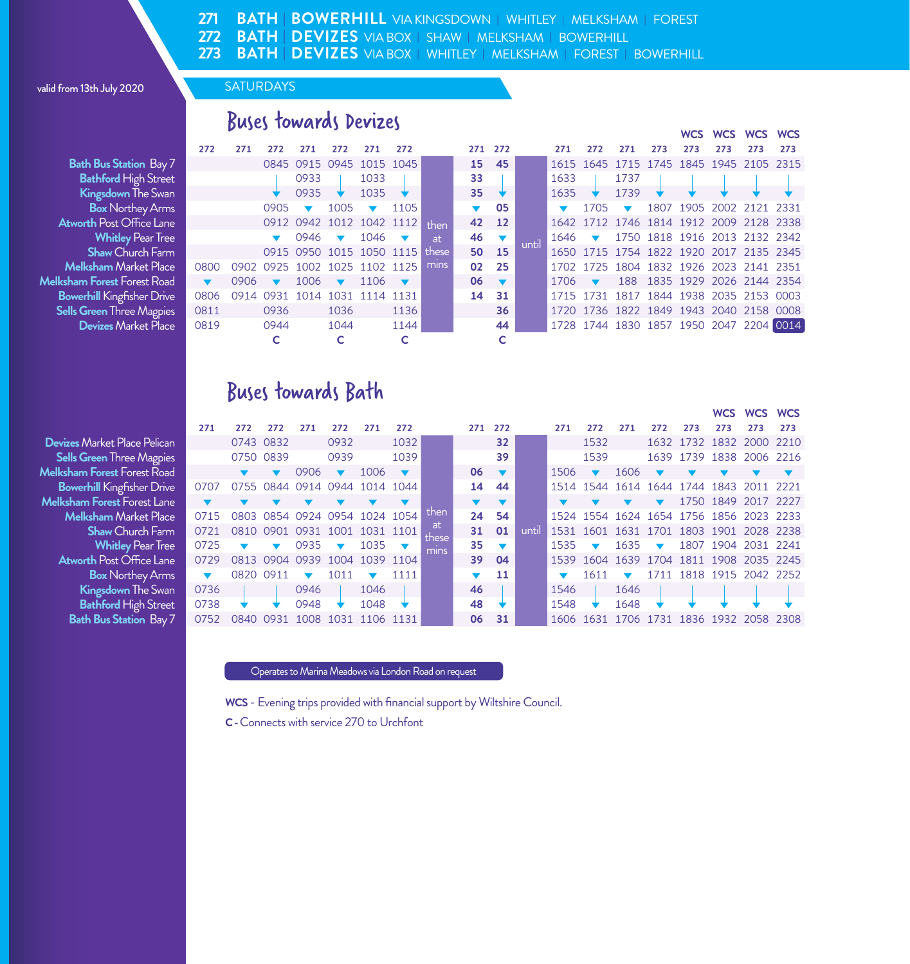**BATH | DEVIZES** VIA BOX **|** SHAW **|** MELKSHAM **|** BOWERHILL **271 272 273 BATH | DEVIZES** VIA BOX **|** WHITLEY **|** MELKSHAM **|** FOREST **|** BOWERHILL **BATH | BOWERHILL** VIA KINGSDOWN **|** WHITLEY **|** MELKSHAM **|** FOREST

#### valid from 13th July 2020

# Buses towards Devizes

**Bath Bus Station Bay 7 Bathford High Street Kingsdown** The Swan **Box** Northey Arms **Atworth** Post Office Lane 0912 0942 1012 1042 1112 **42 12** 1642 1712 1746 1814 1912 2009 2128 2338 **Melksham** Market Place **0 Melksham Forest Forest Road**<br>8 **Bowerhill Kingfisher Drive Bowerhill** Kingfisher Drive **0**<br>**Sells Green** Three Magpies **1 Sells Green Three Magpies 0**<br>10 Devizes Market Place **Devizes Market Place** 

|                              |                      |      |                         |                               |                          |                             |      |       |                      |                               |       |                             |                                  |      |     |                                         | WCS WCS WCS WCS |     |     |
|------------------------------|----------------------|------|-------------------------|-------------------------------|--------------------------|-----------------------------|------|-------|----------------------|-------------------------------|-------|-----------------------------|----------------------------------|------|-----|-----------------------------------------|-----------------|-----|-----|
|                              | 272                  | 271  | 272                     | 271                           | 272                      | 271                         | 272  |       |                      | 271 272                       |       | 271                         | 272                              | 271  | 273 | 273                                     | 273             | 273 | 273 |
| ר <b>Bus Station</b> Bay 7   |                      |      |                         | 0845 0915 0945 1015 1045      |                          |                             |      |       |                      | 15 45                         |       |                             |                                  |      |     | 1615 1645 1715 1745 1845 1945 2105 2315 |                 |     |     |
| a <b>thford</b> High Street  |                      |      |                         | 0933                          |                          | 1033                        |      |       | 33                   |                               |       | 1633                        |                                  | 1737 |     |                                         |                 |     |     |
| <b>ingsdown</b> The Swan     |                      |      |                         | $0935 +$                      |                          | $1035 \rightarrow$          |      |       |                      | $35 \quad \star$              |       | $1635 \rightarrow$          |                                  | 1739 |     |                                         |                 |     |     |
| <b>Box</b> Northey Arms      |                      |      | 0905 $\bullet$          |                               | 1005                     | $\overline{\phantom{a}}$    | 1105 |       | $\blacktriangledown$ | 05                            |       |                             | $1705 \quad \blacktriangleright$ |      |     | 1807 1905 2002 2121 2331                |                 |     |     |
| th Post Office Lane          |                      |      |                         | 0912 0942 1012 1042 1112      |                          |                             |      | then  |                      | 42 12                         |       |                             |                                  |      |     | 1642 1712 1746 1814 1912 2009 2128 2338 |                 |     |     |
| <b>Whitley Pear Tree</b>     |                      |      |                         | 0946                          | $\overline{\phantom{0}}$ | $1046$ $\blacktriangledown$ |      | at.   |                      | $46 \quad \blacktriangledown$ | until |                             |                                  |      |     | 1646 - 1750 1818 1916 2013 2132 2342    |                 |     |     |
| <b>Shaw</b> Church Farm      |                      |      |                         | 0915 0950 1015 1050 1115      |                          |                             |      | these |                      | 50 15                         |       |                             |                                  |      |     | 1650 1715 1754 1822 1920 2017 2135 2345 |                 |     |     |
| s <b>ham</b> Market Place    | 0800                 |      |                         | 0902 0925 1002 1025 1102 1125 |                          |                             |      | mins  |                      | 02 25                         |       |                             |                                  |      |     | 1702 1725 1804 1832 1926 2023 2141 2351 |                 |     |     |
| <b>Forest</b> Forest Road    | $\blacktriangledown$ | 0906 | $\overline{\mathbf{v}}$ | 1006                          | $\overline{\mathbf{v}}$  | 1106                        |      |       |                      | $06 \quad \blacktriangledown$ |       | $1706$ $\blacktriangledown$ |                                  |      |     | 188 1835 1929 2026 2144 2354            |                 |     |     |
| <b>hill</b> Kingfisher Drive | 0806                 |      |                         | 0914 0931 1014 1031 1114 1131 |                          |                             |      |       |                      | 14 31                         |       |                             |                                  |      |     | 1715 1731 1817 1844 1938 2035 2153 0003 |                 |     |     |
| r <b>een</b> Three Magpies   | 0811                 |      | 0936                    |                               | 1036                     |                             | 1136 |       |                      | 36                            |       |                             |                                  |      |     | 1720 1736 1822 1849 1943 2040 2158 0008 |                 |     |     |
| <b>evizes</b> Market Place   | 0819                 |      | 0944                    |                               | 1044                     |                             | 1144 |       |                      | 44                            |       |                             |                                  |      |     | 1728 1744 1830 1857 1950 2047 2204 0014 |                 |     |     |
|                              |                      |      |                         |                               |                          |                             |      |       |                      | c                             |       |                             |                                  |      |     |                                         |                 |     |     |
|                              |                      |      |                         |                               |                          |                             |      |       |                      |                               |       |                             |                                  |      |     |                                         |                 |     |     |

# Buses towards Bath

**Devizes** Market Place Pelican **Sells Green Three Magpies Melksham Forest Forest Road Bowerhill Kingfisher Drive Melksham Forest Forest Lane Melksham** Market Place<br>**Shaw** Church Farm **Whitley Pear Tree Atworth Post Office Lane Box Northey Arms Kingsdown The Swan Bathford High Street Bath Bus Station Bay 7** 

|                              |                      |           |           |                     |                               |           |           |             |                               |                                                 |       |      |                          |                      |                          |     |     | WCS WCS WCS                             |     |
|------------------------------|----------------------|-----------|-----------|---------------------|-------------------------------|-----------|-----------|-------------|-------------------------------|-------------------------------------------------|-------|------|--------------------------|----------------------|--------------------------|-----|-----|-----------------------------------------|-----|
|                              | 271                  | 272       | 272       | 271                 | 272                           | 271       | 272       |             | 271                           | 272                                             |       | 271  | 272                      | 271                  | 272                      | 273 | 273 | 273                                     | 273 |
| Aarket Place Pelican         |                      |           | 0743 0832 |                     | 0932                          |           | 1032      |             |                               | 32                                              |       |      | 1532                     |                      |                          |     |     | 1632 1732 1832 2000 2210                |     |
| r <b>een</b> Three Magpies   |                      | 0750 0839 |           |                     | 0939                          |           | 1039      |             |                               | 39                                              |       |      | 1539                     |                      |                          |     |     | 1639 1739 1838 2006 2216                |     |
| <b>Forest</b> Forest Road    |                      |           |           | 0906                |                               | 1006      |           |             | 06                            | $\sqrt{2}$                                      |       | 1506 |                          | 1606                 |                          |     |     |                                         |     |
| <b>hill</b> Kingfisher Drive | 0707                 | 0755      |           |                     | 0844 0914 0944 1014 1044      |           |           |             | 14                            | 44                                              |       |      |                          |                      |                          |     |     | 1514 1544 1614 1644 1744 1843 2011 2221 |     |
| <b>Forest</b> Forest Lane    |                      |           |           |                     |                               |           |           |             |                               | $\overline{\mathbf{v}}$ $\overline{\mathbf{v}}$ |       |      |                          |                      |                          |     |     | 1750 1849 2017 2227                     |     |
| s <b>ham</b> Market Place    | 0715                 |           |           |                     | 0803 0854 0924 0954 1024 1054 |           |           | then        | 24                            | -54                                             |       |      |                          |                      |                          |     |     | 1524 1554 1624 1654 1756 1856 2023 2233 |     |
| Shaw Church Farm             | 0721                 |           |           | 0810 0901 0931 1001 |                               | 1031 1101 |           | at<br>these |                               | 31 01                                           | until |      |                          |                      |                          |     |     | 1531 1601 1631 1701 1803 1901 2028 2238 |     |
| <b>Whitley Pear Tree</b>     | 0725                 |           |           | 0935                | $\blacksquare$                | 1035      |           | mins        | $35 \quad \blacktriangledown$ |                                                 |       | 1535 | $\overline{\phantom{a}}$ | 1635                 | $\overline{\phantom{0}}$ |     |     | 1807 1904 2031 2241                     |     |
| <b>th</b> Post Office Lane . | 0729                 |           |           |                     | 0813 0904 0939 1004           |           | 1039 1104 |             |                               | 39 04                                           |       |      |                          |                      |                          |     |     | 1539 1604 1639 1704 1811 1908 2035 2245 |     |
| <b>Box</b> Northey Arms      | $\blacktriangledown$ | 0820 0911 |           | $\blacksquare$      | 1011                          |           | 1111      |             | $\blacktriangledown$          | 11                                              |       |      | 1611                     | $\blacktriangledown$ |                          |     |     | 1711 1818 1915 2042 2252                |     |
| <b>ingsdown</b> The Swan     | 0736                 |           |           | 0946                |                               | 1046      |           |             | 46                            |                                                 |       | 1546 |                          | 1646                 |                          |     |     |                                         |     |
| a <b>thford</b> High Street  | 0738                 |           |           | 0948                |                               | 1048      |           |             | 48                            |                                                 |       | 1548 |                          | 1648                 |                          |     |     |                                         |     |
| ר <b>Bus Station</b> Bav 7   | 0752                 | 0840 0931 |           | 1008                | 1031                          |           | 1106 1131 |             | 06                            | 31                                              |       |      | 1606 1631 1706           |                      |                          |     |     | 1731 1836 1932 2058 2308                |     |

Operates to Marina Meadows via London Road on request

**WCS** - Evening trips provided with financial support by Wiltshire Council.

**C -** Connects with service 270 to Urchfont